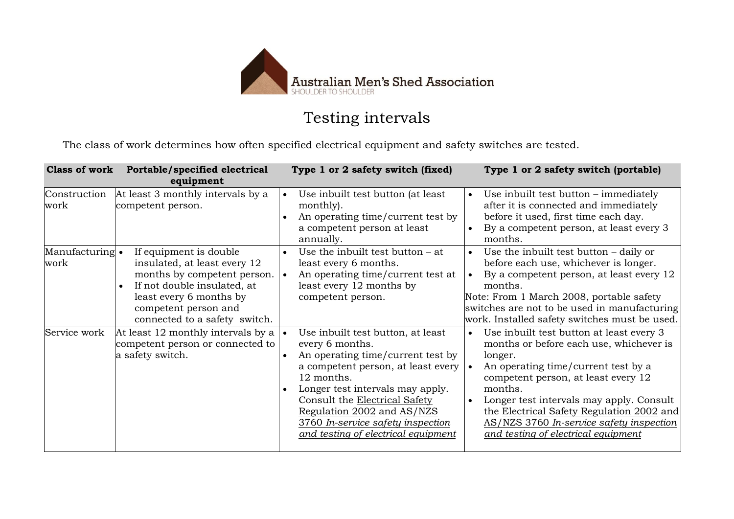

## Testing intervals

The class of work determines how often specified electrical equipment and safety switches are tested.

|                         | Class of work Portable/specified electrical<br>equipment                                                                                                                                                 | Type 1 or 2 safety switch (fixed)                                                                                                                                                                                                                                                                                                                                   | Type 1 or 2 safety switch (portable)                                                                                                                                                                                                                                                                                                                                                          |
|-------------------------|----------------------------------------------------------------------------------------------------------------------------------------------------------------------------------------------------------|---------------------------------------------------------------------------------------------------------------------------------------------------------------------------------------------------------------------------------------------------------------------------------------------------------------------------------------------------------------------|-----------------------------------------------------------------------------------------------------------------------------------------------------------------------------------------------------------------------------------------------------------------------------------------------------------------------------------------------------------------------------------------------|
| Construction<br>work    | At least 3 monthly intervals by a<br>competent person.                                                                                                                                                   | Use inbuilt test button (at least<br>$\bullet$<br>monthly).<br>An operating time/current test by<br>$\bullet$<br>a competent person at least<br>annually.                                                                                                                                                                                                           | Use inbuilt test button – immediately<br>$\bullet$<br>after it is connected and immediately<br>before it used, first time each day.<br>By a competent person, at least every 3<br>$\bullet$<br>months.                                                                                                                                                                                        |
| Manufacturing •<br>work | If equipment is double<br>insulated, at least every 12<br>months by competent person.<br>If not double insulated, at<br>least every 6 months by<br>competent person and<br>connected to a safety switch. | Use the inbuilt test button $-$ at<br>$\bullet$<br>least every 6 months.<br>An operating time/current test at<br>$\bullet$<br>least every 12 months by<br>competent person.                                                                                                                                                                                         | Use the inbuilt test button $-$ daily or<br>$\bullet$<br>before each use, whichever is longer.<br>By a competent person, at least every 12<br>$\bullet$<br>months.<br>Note: From 1 March 2008, portable safety<br>switches are not to be used in manufacturing<br>work. Installed safety switches must be used.                                                                               |
| Service work            | At least 12 monthly intervals by a<br>competent person or connected to<br>a safety switch.                                                                                                               | Use inbuilt test button, at least<br>$\bullet$<br>every 6 months.<br>An operating time/current test by<br>$\bullet$<br>a competent person, at least every<br>12 months.<br>Longer test intervals may apply.<br>$\bullet$<br>Consult the Electrical Safety<br>Regulation 2002 and AS/NZS<br>3760 In-service safety inspection<br>and testing of electrical equipment | Use inbuilt test button at least every 3<br>$\bullet$<br>months or before each use, whichever is<br>longer.<br>An operating time/current test by a<br>$\bullet$<br>competent person, at least every 12<br>months.<br>Longer test intervals may apply. Consult<br>the Electrical Safety Regulation 2002 and<br>AS/NZS 3760 In-service safety inspection<br>and testing of electrical equipment |